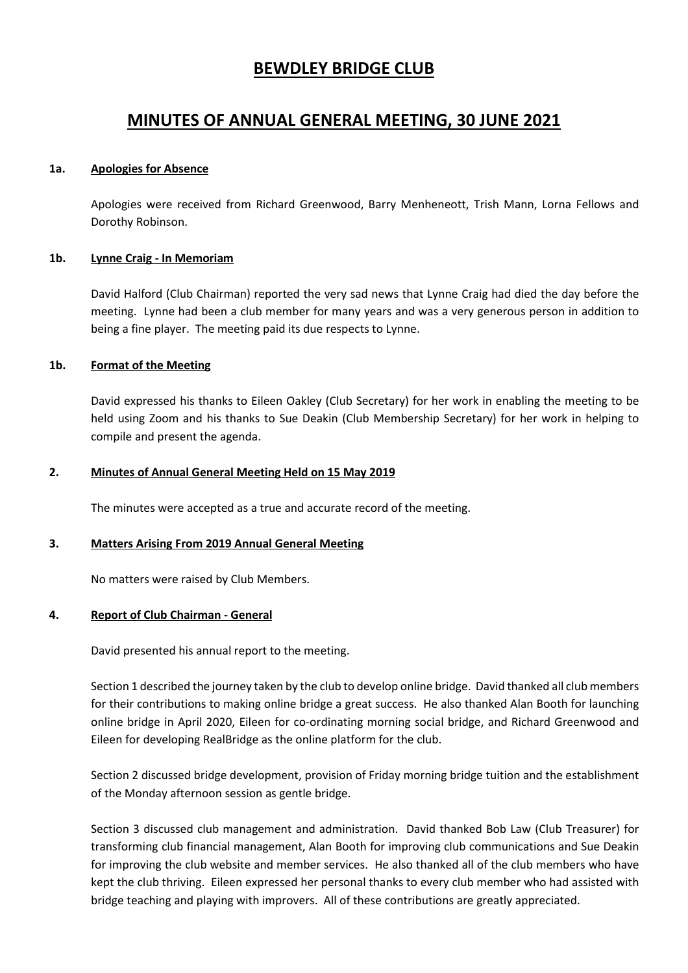# **BEWDLEY BRIDGE CLUB**

# **MINUTES OF ANNUAL GENERAL MEETING, 30 JUNE 2021**

#### **1a. Apologies for Absence**

Apologies were received from Richard Greenwood, Barry Menheneott, Trish Mann, Lorna Fellows and Dorothy Robinson.

## **1b. Lynne Craig - In Memoriam**

David Halford (Club Chairman) reported the very sad news that Lynne Craig had died the day before the meeting. Lynne had been a club member for many years and was a very generous person in addition to being a fine player. The meeting paid its due respects to Lynne.

## **1b. Format of the Meeting**

David expressed his thanks to Eileen Oakley (Club Secretary) for her work in enabling the meeting to be held using Zoom and his thanks to Sue Deakin (Club Membership Secretary) for her work in helping to compile and present the agenda.

## **2. Minutes of Annual General Meeting Held on 15 May 2019**

The minutes were accepted as a true and accurate record of the meeting.

# **3. Matters Arising From 2019 Annual General Meeting**

No matters were raised by Club Members.

# **4. Report of Club Chairman - General**

David presented his annual report to the meeting.

Section 1 described the journey taken by the club to develop online bridge. David thanked all club members for their contributions to making online bridge a great success. He also thanked Alan Booth for launching online bridge in April 2020, Eileen for co-ordinating morning social bridge, and Richard Greenwood and Eileen for developing RealBridge as the online platform for the club.

Section 2 discussed bridge development, provision of Friday morning bridge tuition and the establishment of the Monday afternoon session as gentle bridge.

Section 3 discussed club management and administration. David thanked Bob Law (Club Treasurer) for transforming club financial management, Alan Booth for improving club communications and Sue Deakin for improving the club website and member services. He also thanked all of the club members who have kept the club thriving. Eileen expressed her personal thanks to every club member who had assisted with bridge teaching and playing with improvers. All of these contributions are greatly appreciated.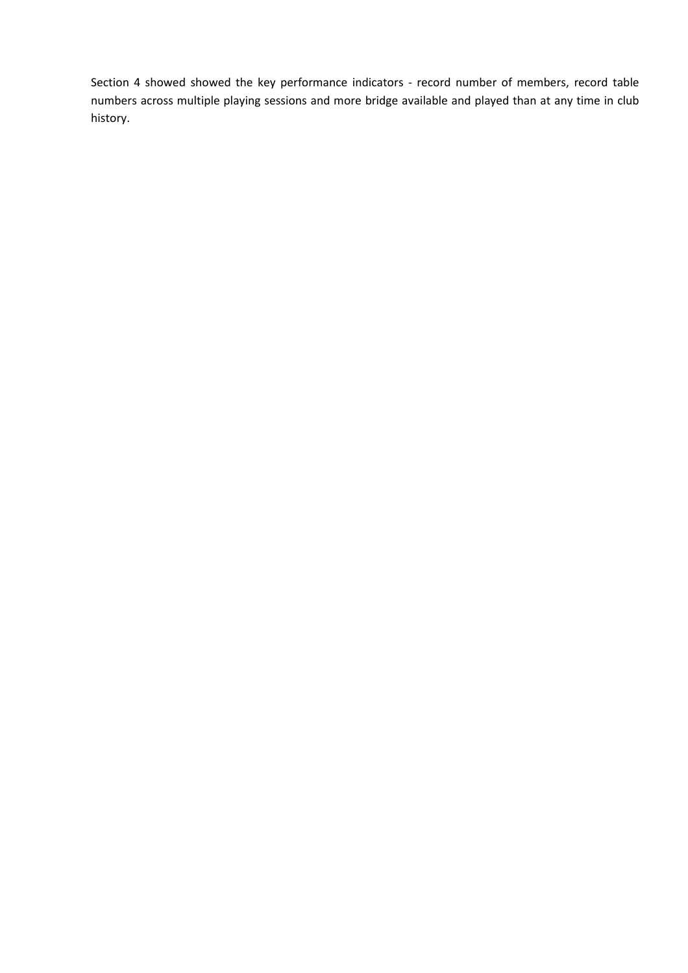Section 4 showed showed the key performance indicators - record number of members, record table numbers across multiple playing sessions and more bridge available and played than at any time in club history.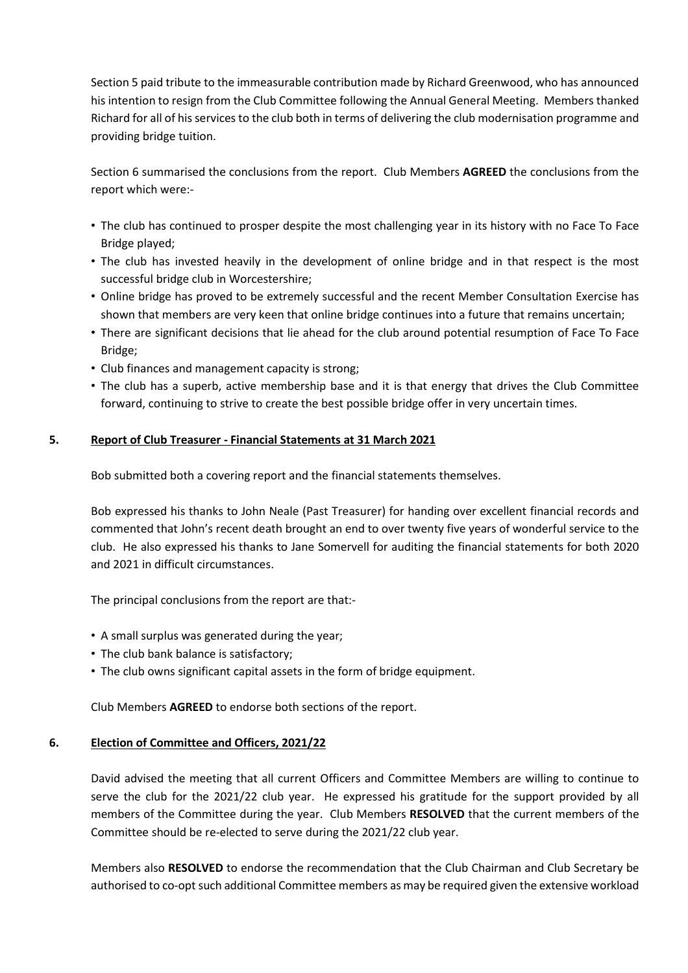Section 5 paid tribute to the immeasurable contribution made by Richard Greenwood, who has announced his intention to resign from the Club Committee following the Annual General Meeting. Members thanked Richard for all of hisservicesto the club both in terms of delivering the club modernisation programme and providing bridge tuition.

Section 6 summarised the conclusions from the report. Club Members **AGREED** the conclusions from the report which were:-

- The club has continued to prosper despite the most challenging year in its history with no Face To Face Bridge played;
- The club has invested heavily in the development of online bridge and in that respect is the most successful bridge club in Worcestershire;
- Online bridge has proved to be extremely successful and the recent Member Consultation Exercise has shown that members are very keen that online bridge continues into a future that remains uncertain;
- There are significant decisions that lie ahead for the club around potential resumption of Face To Face Bridge;
- Club finances and management capacity is strong;
- The club has a superb, active membership base and it is that energy that drives the Club Committee forward, continuing to strive to create the best possible bridge offer in very uncertain times.

## **5. Report of Club Treasurer - Financial Statements at 31 March 2021**

Bob submitted both a covering report and the financial statements themselves.

Bob expressed his thanks to John Neale (Past Treasurer) for handing over excellent financial records and commented that John's recent death brought an end to over twenty five years of wonderful service to the club. He also expressed his thanks to Jane Somervell for auditing the financial statements for both 2020 and 2021 in difficult circumstances.

The principal conclusions from the report are that:-

- A small surplus was generated during the year;
- The club bank balance is satisfactory;
- The club owns significant capital assets in the form of bridge equipment.

Club Members **AGREED** to endorse both sections of the report.

#### **6. Election of Committee and Officers, 2021/22**

David advised the meeting that all current Officers and Committee Members are willing to continue to serve the club for the 2021/22 club year. He expressed his gratitude for the support provided by all members of the Committee during the year. Club Members **RESOLVED** that the current members of the Committee should be re-elected to serve during the 2021/22 club year.

Members also **RESOLVED** to endorse the recommendation that the Club Chairman and Club Secretary be authorised to co-opt such additional Committee members as may be required given the extensive workload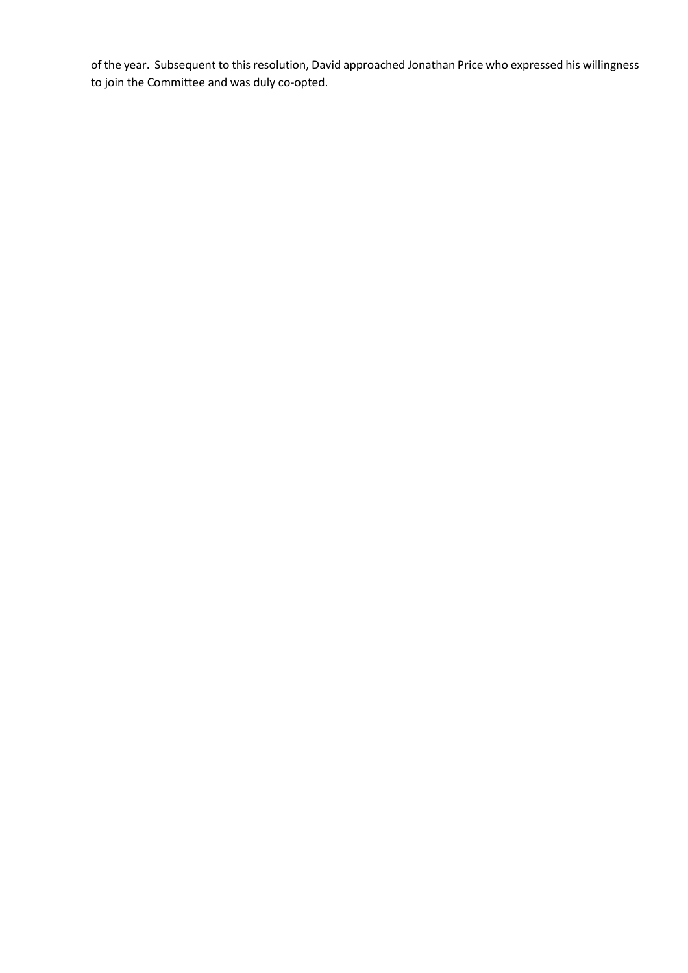of the year. Subsequent to this resolution, David approached Jonathan Price who expressed his willingness to join the Committee and was duly co-opted.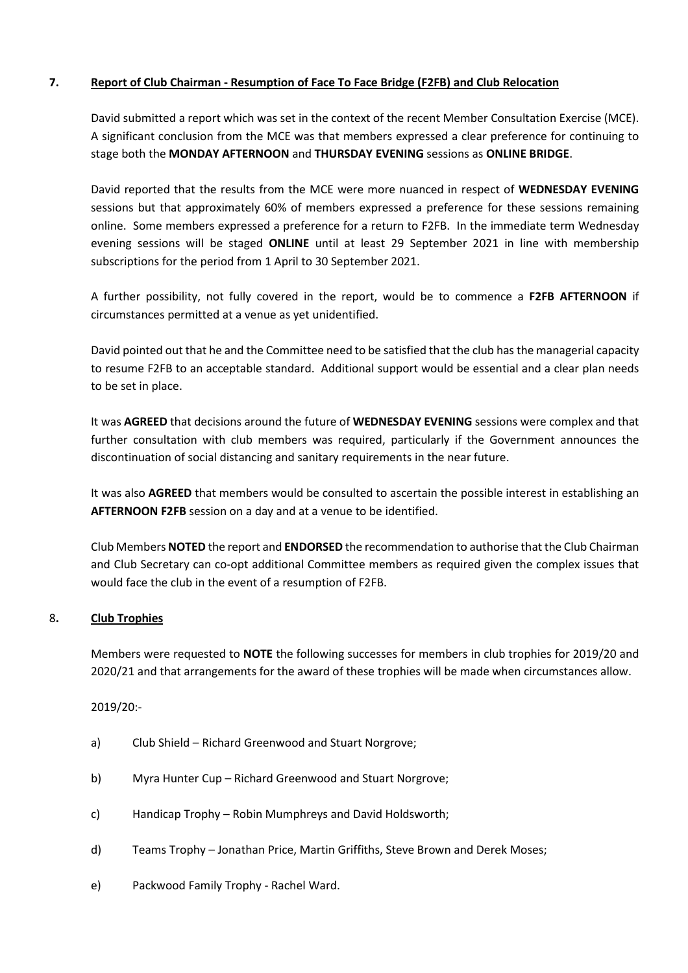## **7. Report of Club Chairman - Resumption of Face To Face Bridge (F2FB) and Club Relocation**

David submitted a report which was set in the context of the recent Member Consultation Exercise (MCE). A significant conclusion from the MCE was that members expressed a clear preference for continuing to stage both the **MONDAY AFTERNOON** and **THURSDAY EVENING** sessions as **ONLINE BRIDGE**.

David reported that the results from the MCE were more nuanced in respect of **WEDNESDAY EVENING** sessions but that approximately 60% of members expressed a preference for these sessions remaining online. Some members expressed a preference for a return to F2FB. In the immediate term Wednesday evening sessions will be staged **ONLINE** until at least 29 September 2021 in line with membership subscriptions for the period from 1 April to 30 September 2021.

A further possibility, not fully covered in the report, would be to commence a **F2FB AFTERNOON** if circumstances permitted at a venue as yet unidentified.

David pointed out that he and the Committee need to be satisfied that the club has the managerial capacity to resume F2FB to an acceptable standard. Additional support would be essential and a clear plan needs to be set in place.

It was **AGREED** that decisions around the future of **WEDNESDAY EVENING** sessions were complex and that further consultation with club members was required, particularly if the Government announces the discontinuation of social distancing and sanitary requirements in the near future.

It was also **AGREED** that members would be consulted to ascertain the possible interest in establishing an **AFTERNOON F2FB** session on a day and at a venue to be identified.

Club Members **NOTED** the report and **ENDORSED** the recommendation to authorise that the Club Chairman and Club Secretary can co-opt additional Committee members as required given the complex issues that would face the club in the event of a resumption of F2FB.

#### 8**. Club Trophies**

Members were requested to **NOTE** the following successes for members in club trophies for 2019/20 and 2020/21 and that arrangements for the award of these trophies will be made when circumstances allow.

2019/20:-

- a) Club Shield Richard Greenwood and Stuart Norgrove;
- b) Myra Hunter Cup Richard Greenwood and Stuart Norgrove;
- c) Handicap Trophy Robin Mumphreys and David Holdsworth;
- d) Teams Trophy Jonathan Price, Martin Griffiths, Steve Brown and Derek Moses;
- e) Packwood Family Trophy Rachel Ward.